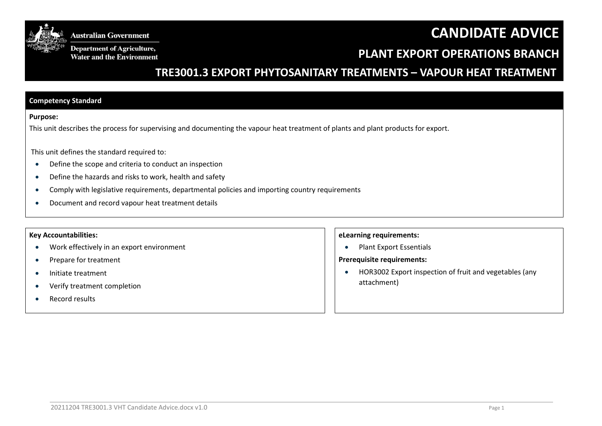# **CANDIDATE ADVICE**



**Australian Government** 

**Department of Agriculture,** Water and the Environment

## **PLANT EXPORT OPERATIONS BRANCH**

## **TRE3001.3 EXPORT PHYTOSANITARY TREATMENTS – VAPOUR HEAT TREATMENT**

#### **Competency Standard**

#### **Purpose:**

This unit describes the process for supervising and documenting the vapour heat treatment of plants and plant products for export.

This unit defines the standard required to:

- Define the scope and criteria to conduct an inspection
- Define the hazards and risks to work, health and safety
- Comply with legislative requirements, departmental policies and importing country requirements
- Document and record vapour heat treatment details

#### **Key Accountabilities:**

- Work effectively in an export environment
- Prepare for treatment
- Initiate treatment
- Verify treatment completion
- Record results

#### **eLearning requirements:**

• Plant Export Essentials

#### **Prerequisite requirements:**

 HOR3002 Export inspection of fruit and vegetables (any attachment)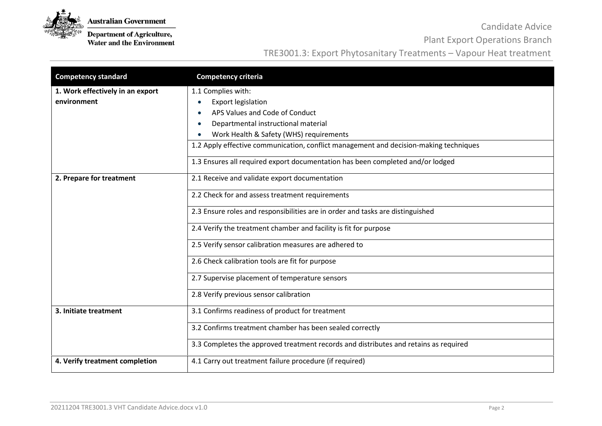

**Department of Agriculture,**<br>Water and the Environment

Candidate Advice

Plant Export Operations Branch

| <b>Competency standard</b>                      | <b>Competency criteria</b>                                                                                                                                                                                                                                                                                                                                                                                                                                     |
|-------------------------------------------------|----------------------------------------------------------------------------------------------------------------------------------------------------------------------------------------------------------------------------------------------------------------------------------------------------------------------------------------------------------------------------------------------------------------------------------------------------------------|
| 1. Work effectively in an export<br>environment | 1.1 Complies with:<br><b>Export legislation</b><br>APS Values and Code of Conduct<br>Departmental instructional material<br>Work Health & Safety (WHS) requirements<br>1.2 Apply effective communication, conflict management and decision-making techniques<br>1.3 Ensures all required export documentation has been completed and/or lodged                                                                                                                 |
| 2. Prepare for treatment                        | 2.1 Receive and validate export documentation<br>2.2 Check for and assess treatment requirements<br>2.3 Ensure roles and responsibilities are in order and tasks are distinguished<br>2.4 Verify the treatment chamber and facility is fit for purpose<br>2.5 Verify sensor calibration measures are adhered to<br>2.6 Check calibration tools are fit for purpose<br>2.7 Supervise placement of temperature sensors<br>2.8 Verify previous sensor calibration |
| 3. Initiate treatment                           | 3.1 Confirms readiness of product for treatment<br>3.2 Confirms treatment chamber has been sealed correctly<br>3.3 Completes the approved treatment records and distributes and retains as required                                                                                                                                                                                                                                                            |
| 4. Verify treatment completion                  | 4.1 Carry out treatment failure procedure (if required)                                                                                                                                                                                                                                                                                                                                                                                                        |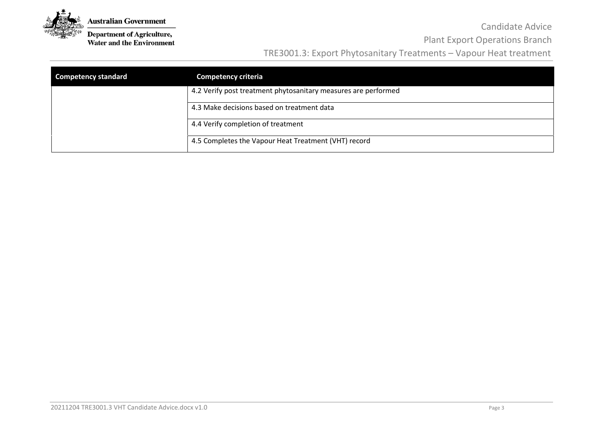

**Department of Agriculture,**<br>Water and the Environment

### Candidate Advice Plant Export Operations Branch

| <b>Competency standard</b> | <b>Competency criteria</b>                                     |
|----------------------------|----------------------------------------------------------------|
|                            | 4.2 Verify post treatment phytosanitary measures are performed |
|                            | 4.3 Make decisions based on treatment data                     |
|                            | 4.4 Verify completion of treatment                             |
|                            | 4.5 Completes the Vapour Heat Treatment (VHT) record           |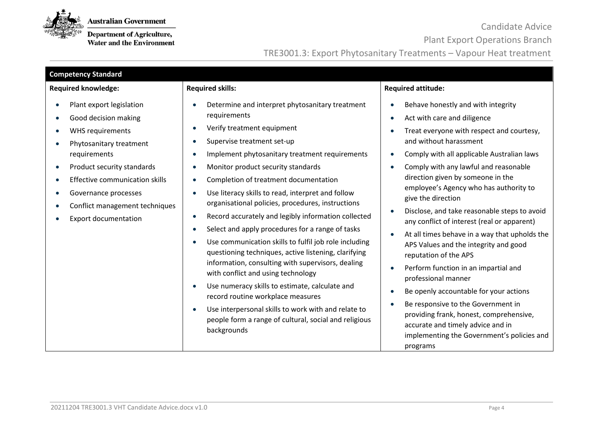

**Department of Agriculture,**<br>Water and the Environment

Candidate Advice

Plant Export Operations Branch

| <b>Competency Standard</b>                                                                                                                                                                                                                                                                                                          |                                                                                                                                                                                                                                                                                                                                                                                                                                                                                                                                                                                                                                                                                                                                                                                                                                                                                                                                                                                                        |                                                                                                                                                                                                                                                                                                                                                                                                                                                                                                                                                                                                                                                                                                                                                                                                                                                 |  |  |  |
|-------------------------------------------------------------------------------------------------------------------------------------------------------------------------------------------------------------------------------------------------------------------------------------------------------------------------------------|--------------------------------------------------------------------------------------------------------------------------------------------------------------------------------------------------------------------------------------------------------------------------------------------------------------------------------------------------------------------------------------------------------------------------------------------------------------------------------------------------------------------------------------------------------------------------------------------------------------------------------------------------------------------------------------------------------------------------------------------------------------------------------------------------------------------------------------------------------------------------------------------------------------------------------------------------------------------------------------------------------|-------------------------------------------------------------------------------------------------------------------------------------------------------------------------------------------------------------------------------------------------------------------------------------------------------------------------------------------------------------------------------------------------------------------------------------------------------------------------------------------------------------------------------------------------------------------------------------------------------------------------------------------------------------------------------------------------------------------------------------------------------------------------------------------------------------------------------------------------|--|--|--|
| <b>Required knowledge:</b>                                                                                                                                                                                                                                                                                                          | <b>Required skills:</b>                                                                                                                                                                                                                                                                                                                                                                                                                                                                                                                                                                                                                                                                                                                                                                                                                                                                                                                                                                                | <b>Required attitude:</b>                                                                                                                                                                                                                                                                                                                                                                                                                                                                                                                                                                                                                                                                                                                                                                                                                       |  |  |  |
| Plant export legislation<br>Good decision making<br>WHS requirements<br>$\bullet$<br>Phytosanitary treatment<br>requirements<br>Product security standards<br>$\bullet$<br><b>Effective communication skills</b><br>Governance processes<br>$\bullet$<br>Conflict management techniques<br>$\bullet$<br><b>Export documentation</b> | Determine and interpret phytosanitary treatment<br>requirements<br>Verify treatment equipment<br>$\bullet$<br>Supervise treatment set-up<br>Implement phytosanitary treatment requirements<br>$\bullet$<br>Monitor product security standards<br>Completion of treatment documentation<br>Use literacy skills to read, interpret and follow<br>$\bullet$<br>organisational policies, procedures, instructions<br>Record accurately and legibly information collected<br>٠<br>Select and apply procedures for a range of tasks<br>$\bullet$<br>Use communication skills to fulfil job role including<br>questioning techniques, active listening, clarifying<br>information, consulting with supervisors, dealing<br>with conflict and using technology<br>Use numeracy skills to estimate, calculate and<br>$\bullet$<br>record routine workplace measures<br>Use interpersonal skills to work with and relate to<br>$\bullet$<br>people form a range of cultural, social and religious<br>backgrounds | Behave honestly and with integrity<br>Act with care and diligence<br>Treat everyone with respect and courtesy,<br>and without harassment<br>Comply with all applicable Australian laws<br>Comply with any lawful and reasonable<br>direction given by someone in the<br>employee's Agency who has authority to<br>give the direction<br>Disclose, and take reasonable steps to avoid<br>any conflict of interest (real or apparent)<br>At all times behave in a way that upholds the<br>APS Values and the integrity and good<br>reputation of the APS<br>Perform function in an impartial and<br>professional manner<br>Be openly accountable for your actions<br>Be responsive to the Government in<br>providing frank, honest, comprehensive,<br>accurate and timely advice and in<br>implementing the Government's policies and<br>programs |  |  |  |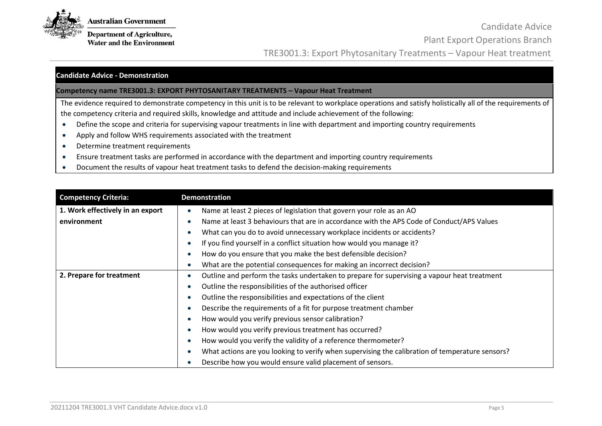

**Department of Agriculture, Water and the Environment** 

Candidate Advice Plant Export Operations Branch TRE3001.3: Export Phytosanitary Treatments – Vapour Heat treatment

### **Candidate Advice - Demonstration**

### **Competency name TRE3001.3: EXPORT PHYTOSANITARY TREATMENTS – Vapour Heat Treatment**

The evidence required to demonstrate competency in this unit is to be relevant to workplace operations and satisfy holistically all of the requirements of the competency criteria and required skills, knowledge and attitude and include achievement of the following:

- Define the scope and criteria for supervising vapour treatments in line with department and importing country requirements
- Apply and follow WHS requirements associated with the treatment
- Determine treatment requirements
- Ensure treatment tasks are performed in accordance with the department and importing country requirements
- Document the results of vapour heat treatment tasks to defend the decision-making requirements

| <b>Competency Criteria:</b>      | <b>Demonstration</b>                                                                            |
|----------------------------------|-------------------------------------------------------------------------------------------------|
| 1. Work effectively in an export | Name at least 2 pieces of legislation that govern your role as an AO                            |
| environment                      | Name at least 3 behaviours that are in accordance with the APS Code of Conduct/APS Values       |
|                                  | What can you do to avoid unnecessary workplace incidents or accidents?                          |
|                                  | If you find yourself in a conflict situation how would you manage it?                           |
|                                  | How do you ensure that you make the best defensible decision?                                   |
|                                  | What are the potential consequences for making an incorrect decision?                           |
| 2. Prepare for treatment         | Outline and perform the tasks undertaken to prepare for supervising a vapour heat treatment     |
|                                  | Outline the responsibilities of the authorised officer                                          |
|                                  | Outline the responsibilities and expectations of the client                                     |
|                                  | Describe the requirements of a fit for purpose treatment chamber                                |
|                                  | How would you verify previous sensor calibration?                                               |
|                                  | How would you verify previous treatment has occurred?                                           |
|                                  | How would you verify the validity of a reference thermometer?                                   |
|                                  | What actions are you looking to verify when supervising the calibration of temperature sensors? |
|                                  | Describe how you would ensure valid placement of sensors.                                       |